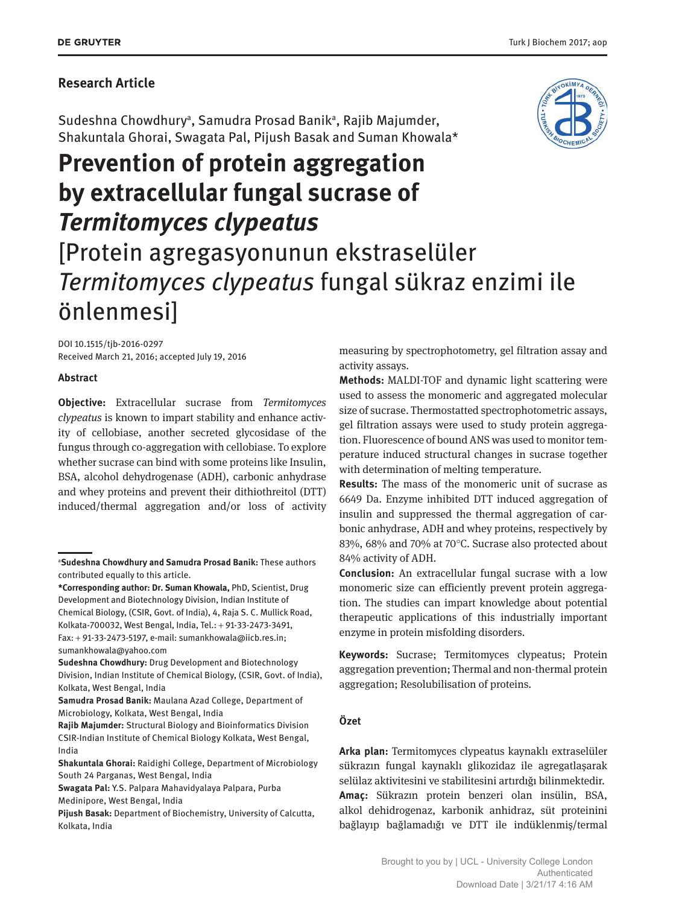### **Research Article**

Sudeshna Chowdhury<sup>a</sup>, Samudra Prosad Banik<sup>a</sup>, Rajib Majumder, Shakuntala Ghorai, Swagata Pal, Pijush Basak and Suman Khowala\*

# **Prevention of protein aggregation by extracellular fungal sucrase of**  *Termitomyces clypeatus* [Protein agregasyonunun ekstraselüler *Termitomyces clypeatus* fungal sükraz enzimi ile

DOI 10.1515/tjb-2016-0297 Received March 21, 2016; accepted July 19, 2016

önlenmesi]

#### **Abstract**

**Objective:** Extracellular sucrase from *Termitomyces clypeatus* is known to impart stability and enhance activity of cellobiase, another secreted glycosidase of the fungus through co-aggregation with cellobiase. To explore whether sucrase can bind with some proteins like Insulin, BSA, alcohol dehydrogenase (ADH), carbonic anhydrase and whey proteins and prevent their dithiothreitol (DTT) induced/thermal aggregation and/or loss of activity

measuring by spectrophotometry, gel filtration assay and activity assays.

**Methods:** MALDI-TOF and dynamic light scattering were used to assess the monomeric and aggregated molecular size of sucrase. Thermostatted spectrophotometric assays, gel filtration assays were used to study protein aggregation. Fluorescence of bound ANS was used to monitor temperature induced structural changes in sucrase together with determination of melting temperature.

**Results:** The mass of the monomeric unit of sucrase as 6649 Da. Enzyme inhibited DTT induced aggregation of insulin and suppressed the thermal aggregation of carbonic anhydrase, ADH and whey proteins, respectively by 83%, 68% and 70% at 70°C. Sucrase also protected about 84% activity of ADH.

**Conclusion:** An extracellular fungal sucrase with a low monomeric size can efficiently prevent protein aggregation. The studies can impart knowledge about potential therapeutic applications of this industrially important enzyme in protein misfolding disorders.

**Keywords:** Sucrase; Termitomyces clypeatus; Protein aggregation prevention; Thermal and non-thermal protein aggregation; Resolubilisation of proteins.

#### **Özet**

**Arka plan:** Termitomyces clypeatus kaynaklı extraselüler sükrazın fungal kaynaklı glikozidaz ile agregatlaşarak selülaz aktivitesini ve stabilitesini artırdığı bilinmektedir. **Amaç:** Sükrazın protein benzeri olan insülin, BSA, alkol dehidrogenaz, karbonik anhidraz, süt proteinini bağlayıp bağlamadığı ve DTT ile indüklenmiş/termal



<sup>a</sup>**Sudeshna Chowdhury and Samudra Prosad Banik:** These authors contributed equally to this article.

**<sup>\*</sup>Corresponding author: Dr. Suman Khowala,** PhD, Scientist, Drug Development and Biotechnology Division, Indian Institute of Chemical Biology, (CSIR, Govt. of India), 4, Raja S. C. Mullick Road, Kolkata-700032, West Bengal, India, Tel.: + 91-33-2473-3491, Fax: + 91-33-2473-5197, e-mail: sumankhowala@iicb.res.in; sumankhowala@yahoo.com

**Sudeshna Chowdhury:** Drug Development and Biotechnology Division, Indian Institute of Chemical Biology, (CSIR, Govt. of India), Kolkata, West Bengal, India

**Samudra Prosad Banik:** Maulana Azad College, Department of Microbiology, Kolkata, West Bengal, India

**Rajib Majumder:** Structural Biology and Bioinformatics Division CSIR-Indian Institute of Chemical Biology Kolkata, West Bengal, India

**Shakuntala Ghorai:** Raidighi College, Department of Microbiology South 24 Parganas, West Bengal, India

**Swagata Pal:** Y.S. Palpara Mahavidyalaya Palpara, Purba Medinipore, West Bengal, India

**Pijush Basak:** Department of Biochemistry, University of Calcutta, Kolkata, India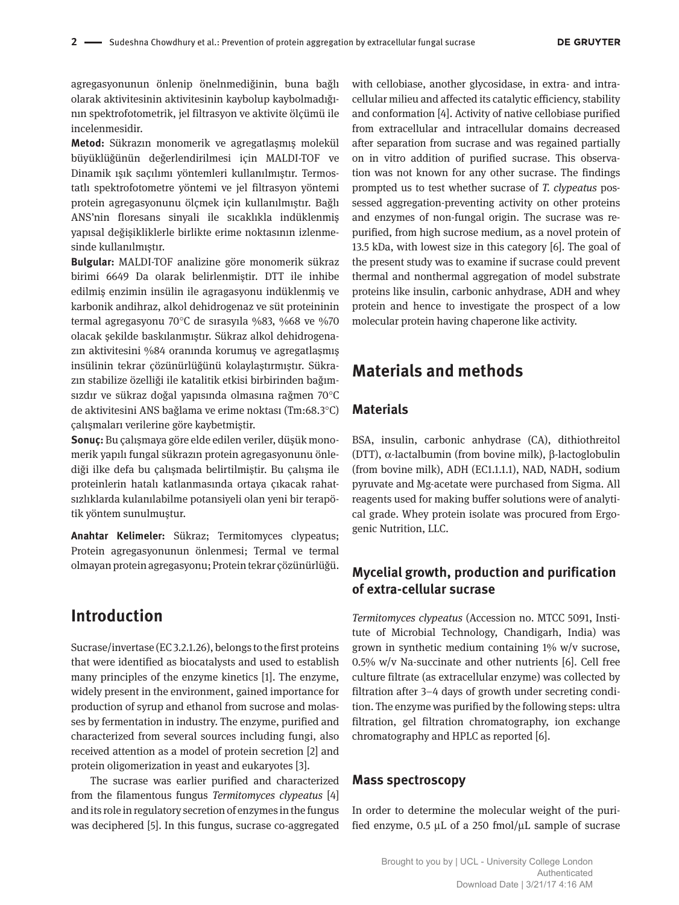agregasyonunun önlenip önelnmediğinin, buna bağlı olarak aktivitesinin aktivitesinin kaybolup kaybolmadığının spektrofotometrik, jel filtrasyon ve aktivite ölçümü ile incelenmesidir.

**Metod:** Sükrazın monomerik ve agregatlaşmış molekül büyüklüğünün değerlendirilmesi için MALDI-TOF ve Dinamik ışık saçılımı yöntemleri kullanılmıştır. Termostatlı spektrofotometre yöntemi ve jel filtrasyon yöntemi protein agregasyonunu ölçmek için kullanılmıştır. Bağlı ANS'nin floresans sinyali ile sıcaklıkla indüklenmiş yapısal değişikliklerle birlikte erime noktasının izlenmesinde kullanılmıştır.

**Bulgular:** MALDI-TOF analizine göre monomerik sükraz birimi 6649 Da olarak belirlenmiştir. DTT ile inhibe edilmiş enzimin insülin ile agragasyonu indüklenmiş ve karbonik andihraz, alkol dehidrogenaz ve süt proteininin termal agregasyonu 70°C de sırasyıla %83, %68 ve %70 olacak şekilde baskılanmıştır. Sükraz alkol dehidrogenazın aktivitesini %84 oranında korumuş ve agregatlaşmış insülinin tekrar çözünürlüğünü kolaylaştırmıştır. Sükrazın stabilize özelliği ile katalitik etkisi birbirinden bağımsızdır ve sükraz doğal yapısında olmasına rağmen 70°C de aktivitesini ANS bağlama ve erime noktası (Tm:68.3°C) çalışmaları verilerine göre kaybetmiştir.

**Sonuç:** Bu çalışmaya göre elde edilen veriler, düşük monomerik yapılı fungal sükrazın protein agregasyonunu önlediği ilke defa bu çalışmada belirtilmiştir. Bu çalışma ile proteinlerin hatalı katlanmasında ortaya çıkacak rahatsızlıklarda kulanılabilme potansiyeli olan yeni bir terapötik yöntem sunulmuştur.

**Anahtar Kelimeler:** Sükraz; Termitomyces clypeatus; Protein agregasyonunun önlenmesi; Termal ve termal olmayan protein agregasyonu; Protein tekrar çözünürlüğü.

# **Introduction**

Sucrase/invertase (EC 3.2.1.26), belongs to the first proteins that were identified as biocatalysts and used to establish many principles of the enzyme kinetics [1]. The enzyme, widely present in the environment, gained importance for production of syrup and ethanol from sucrose and molasses by fermentation in industry. The enzyme, purified and characterized from several sources including fungi, also received attention as a model of protein secretion [2] and protein oligomerization in yeast and eukaryotes [3].

The sucrase was earlier purified and characterized from the filamentous fungus *Termitomyces clypeatus* [4] and its role in regulatory secretion of enzymes in the fungus was deciphered [5]. In this fungus, sucrase co-aggregated

with cellobiase, another glycosidase, in extra- and intracellular milieu and affected its catalytic efficiency, stability and conformation [4]. Activity of native cellobiase purified from extracellular and intracellular domains decreased after separation from sucrase and was regained partially on in vitro addition of purified sucrase. This observation was not known for any other sucrase. The findings prompted us to test whether sucrase of *T. clypeatus* possessed aggregation-preventing activity on other proteins and enzymes of non-fungal origin. The sucrase was repurified, from high sucrose medium, as a novel protein of 13.5 kDa, with lowest size in this category [6]. The goal of the present study was to examine if sucrase could prevent thermal and nonthermal aggregation of model substrate proteins like insulin, carbonic anhydrase, ADH and whey protein and hence to investigate the prospect of a low molecular protein having chaperone like activity.

# **Materials and methods**

#### **Materials**

BSA, insulin, carbonic anhydrase (CA), dithiothreitol (DTT), α-lactalbumin (from bovine milk), β-lactoglobulin (from bovine milk), ADH (EC1.1.1.1), NAD, NADH, sodium pyruvate and Mg-acetate were purchased from Sigma. All reagents used for making buffer solutions were of analytical grade. Whey protein isolate was procured from Ergogenic Nutrition, LLC.

## **Mycelial growth, production and purification of extra-cellular sucrase**

*Termitomyces clypeatus* (Accession no. MTCC 5091, Institute of Microbial Technology, Chandigarh, India) was grown in synthetic medium containing 1% w/v sucrose, 0.5% w/v Na-succinate and other nutrients [6]. Cell free culture filtrate (as extracellular enzyme) was collected by filtration after 3–4 days of growth under secreting condition. The enzyme was purified by the following steps: ultra filtration, gel filtration chromatography, ion exchange chromatography and HPLC as reported [6].

#### **Mass spectroscopy**

In order to determine the molecular weight of the purified enzyme,  $0.5 \mu L$  of a 250 fmol/ $\mu L$  sample of sucrase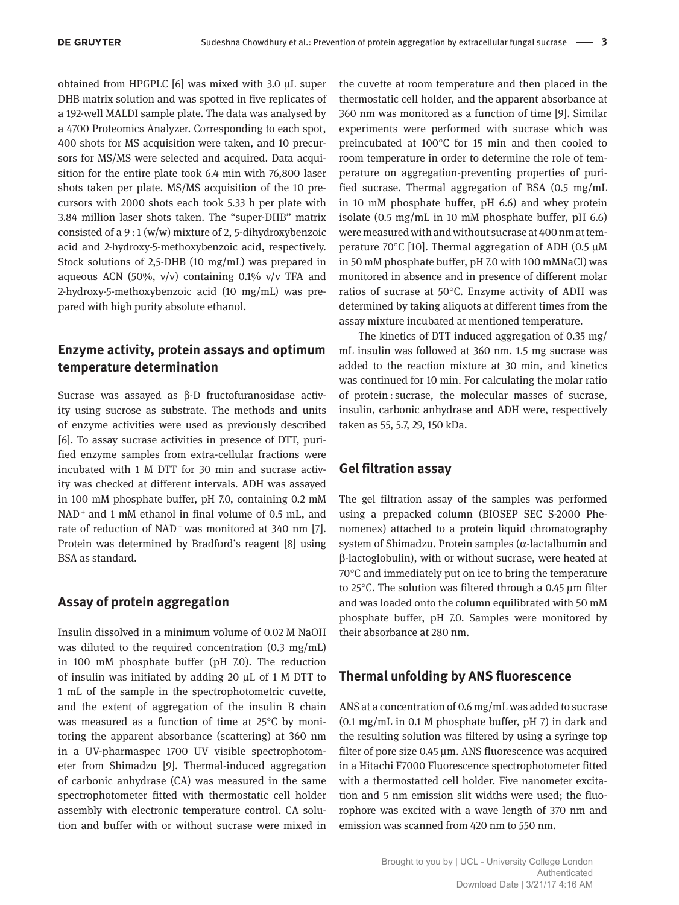obtained from HPGPLC [6] was mixed with 3.0 µL super DHB matrix solution and was spotted in five replicates of a 192-well MALDI sample plate. The data was analysed by a 4700 Proteomics Analyzer. Corresponding to each spot, 400 shots for MS acquisition were taken, and 10 precursors for MS/MS were selected and acquired. Data acquisition for the entire plate took 6.4 min with 76,800 laser shots taken per plate. MS/MS acquisition of the 10 precursors with 2000 shots each took 5.33 h per plate with 3.84 million laser shots taken. The "super-DHB" matrix consisted of a 9 : 1 (w/w) mixture of 2, 5-dihydroxybenzoic acid and 2-hydroxy-5-methoxybenzoic acid, respectively. Stock solutions of 2,5-DHB (10 mg/mL) was prepared in aqueous ACN (50%,  $v/v$ ) containing 0.1%  $v/v$  TFA and 2-hydroxy-5-methoxybenzoic acid (10 mg/mL) was prepared with high purity absolute ethanol.

#### **Enzyme activity, protein assays and optimum temperature determination**

Sucrase was assayed as β-D fructofuranosidase activity using sucrose as substrate. The methods and units of enzyme activities were used as previously described [6]. To assay sucrase activities in presence of DTT, purified enzyme samples from extra-cellular fractions were incubated with 1 M DTT for 30 min and sucrase activity was checked at different intervals. ADH was assayed in 100 mM phosphate buffer, pH 7.0, containing 0.2 mM NAD<sup>+</sup> and 1 mM ethanol in final volume of 0.5 mL, and rate of reduction of NAD<sup>+</sup> was monitored at 340 nm [7]. Protein was determined by Bradford's reagent [8] using BSA as standard.

#### **Assay of protein aggregation**

Insulin dissolved in a minimum volume of 0.02 M NaOH was diluted to the required concentration (0.3 mg/mL) in 100 mM phosphate buffer (pH 7.0). The reduction of insulin was initiated by adding  $20 \mu L$  of 1 M DTT to 1 mL of the sample in the spectrophotometric cuvette, and the extent of aggregation of the insulin B chain was measured as a function of time at 25°C by monitoring the apparent absorbance (scattering) at 360 nm in a UV-pharmaspec 1700 UV visible spectrophotometer from Shimadzu [9]. Thermal-induced aggregation of carbonic anhydrase (CA) was measured in the same spectrophotometer fitted with thermostatic cell holder assembly with electronic temperature control. CA solution and buffer with or without sucrase were mixed in

the cuvette at room temperature and then placed in the thermostatic cell holder, and the apparent absorbance at 360 nm was monitored as a function of time [9]. Similar experiments were performed with sucrase which was preincubated at 100°C for 15 min and then cooled to room temperature in order to determine the role of temperature on aggregation-preventing properties of purified sucrase. Thermal aggregation of BSA (0.5 mg/mL in 10 mM phosphate buffer, pH 6.6) and whey protein isolate (0.5 mg/mL in 10 mM phosphate buffer, pH 6.6) were measured with and without sucrase at 400 nm at temperature 70 $\degree$ C [10]. Thermal aggregation of ADH (0.5  $\mu$ M in 50 mM phosphate buffer, pH 7.0 with 100 mMNaCl) was monitored in absence and in presence of different molar ratios of sucrase at 50°C. Enzyme activity of ADH was determined by taking aliquots at different times from the assay mixture incubated at mentioned temperature.

The kinetics of DTT induced aggregation of 0.35 mg/ mL insulin was followed at 360 nm. 1.5 mg sucrase was added to the reaction mixture at 30 min, and kinetics was continued for 10 min. For calculating the molar ratio of protein : sucrase, the molecular masses of sucrase, insulin, carbonic anhydrase and ADH were, respectively taken as 55, 5.7, 29, 150 kDa.

#### **Gel filtration assay**

The gel filtration assay of the samples was performed using a prepacked column (BIOSEP SEC S-2000 Phenomenex) attached to a protein liquid chromatography system of Shimadzu. Protein samples (α-lactalbumin and β-lactoglobulin), with or without sucrase, were heated at 70°C and immediately put on ice to bring the temperature to 25°C. The solution was filtered through a 0.45 µm filter and was loaded onto the column equilibrated with 50 mM phosphate buffer, pH 7.0. Samples were monitored by their absorbance at 280 nm.

#### **Thermal unfolding by ANS fluorescence**

ANS at a concentration of 0.6 mg/mL was added to sucrase (0.1 mg/mL in 0.1 M phosphate buffer, pH 7) in dark and the resulting solution was filtered by using a syringe top filter of pore size 0.45 µm. ANS fluorescence was acquired in a Hitachi F7000 Fluorescence spectrophotometer fitted with a thermostatted cell holder. Five nanometer excitation and 5 nm emission slit widths were used; the fluorophore was excited with a wave length of 370 nm and emission was scanned from 420 nm to 550 nm.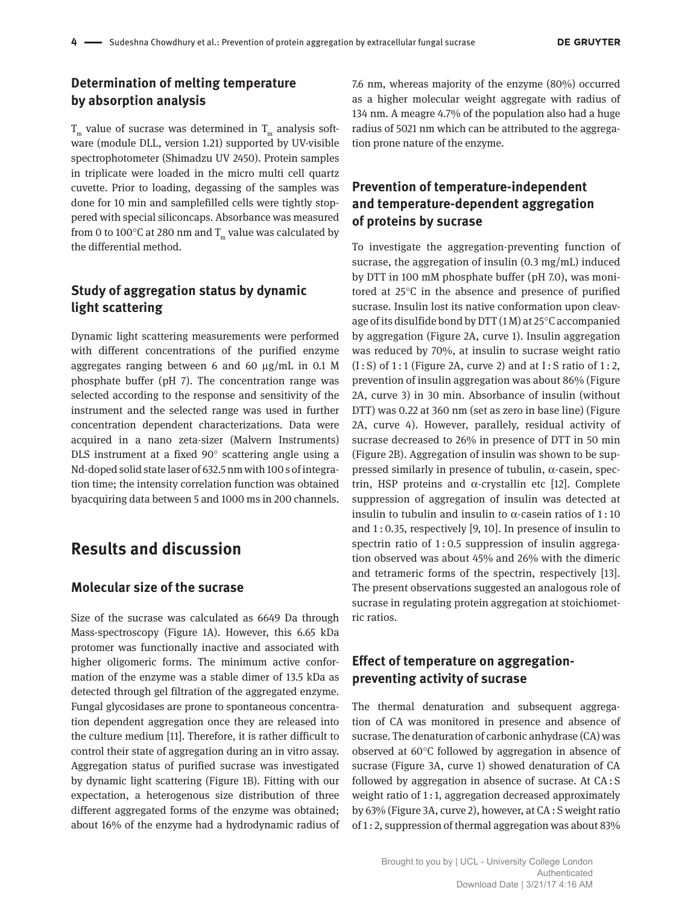## **Determination of melting temperature by absorption analysis**

 ${\tt T}_{\tt m}$  value of sucrase was determined in  ${\tt T}_{\tt m}$  analysis software (module DLL, version 1.21) supported by UV-visible spectrophotometer (Shimadzu UV 2450). Protein samples in triplicate were loaded in the micro multi cell quartz cuvette. Prior to loading, degassing of the samples was done for 10 min and samplefilled cells were tightly stoppered with special siliconcaps. Absorbance was measured from 0 to 100°C at 280 nm and  ${\tt T}_{_{\rm m}}$  value was calculated by the differential method.

## **Study of aggregation status by dynamic light scattering**

Dynamic light scattering measurements were performed with different concentrations of the purified enzyme aggregates ranging between 6 and 60 µg/mL in 0.1 M phosphate buffer (pH 7). The concentration range was selected according to the response and sensitivity of the instrument and the selected range was used in further concentration dependent characterizations. Data were acquired in a nano zeta-sizer (Malvern Instruments) DLS instrument at a fixed 90° scattering angle using a Nd-doped solid state laser of 632.5 nm with 100 s of integration time; the intensity correlation function was obtained byacquiring data between 5 and 1000 ms in 200 channels.

# **Results and discussion**

#### **Molecular size of the sucrase**

Size of the sucrase was calculated as 6649 Da through Mass-spectroscopy (Figure 1A). However, this 6.65 kDa protomer was functionally inactive and associated with higher oligomeric forms. The minimum active conformation of the enzyme was a stable dimer of 13.5 kDa as detected through gel filtration of the aggregated enzyme. Fungal glycosidases are prone to spontaneous concentration dependent aggregation once they are released into the culture medium [11]. Therefore, it is rather difficult to control their state of aggregation during an in vitro assay. Aggregation status of purified sucrase was investigated by dynamic light scattering (Figure 1B). Fitting with our expectation, a heterogenous size distribution of three different aggregated forms of the enzyme was obtained; about 16% of the enzyme had a hydrodynamic radius of

7.6 nm, whereas majority of the enzyme (80%) occurred as a higher molecular weight aggregate with radius of 134 nm. A meagre 4.7% of the population also had a huge radius of 5021 nm which can be attributed to the aggregation prone nature of the enzyme.

## **Prevention of temperature-independent and temperature-dependent aggregation of proteins by sucrase**

To investigate the aggregation-preventing function of sucrase, the aggregation of insulin (0.3 mg/mL) induced by DTT in 100 mM phosphate buffer (pH 7.0), was monitored at 25°C in the absence and presence of purified sucrase. Insulin lost its native conformation upon cleavage of its disulfide bond by DTT (1 M) at 25°C accompanied by aggregation (Figure 2A, curve 1). Insulin aggregation was reduced by 70%, at insulin to sucrase weight ratio  $(I: S)$  of 1:1 (Figure 2A, curve 2) and at I:S ratio of 1:2, prevention of insulin aggregation was about 86% (Figure 2A, curve 3) in 30 min. Absorbance of insulin (without DTT) was 0.22 at 360 nm (set as zero in base line) (Figure 2A, curve 4). However, parallely, residual activity of sucrase decreased to 26% in presence of DTT in 50 min (Figure 2B). Aggregation of insulin was shown to be suppressed similarly in presence of tubulin, α-casein, spectrin, HSP proteins and α-crystallin etc [12]. Complete suppression of aggregation of insulin was detected at insulin to tubulin and insulin to  $α$ -casein ratios of 1:10 and 1 : 0.35, respectively [9, 10]. In presence of insulin to spectrin ratio of 1:0.5 suppression of insulin aggregation observed was about 45% and 26% with the dimeric and tetrameric forms of the spectrin, respectively [13]. The present observations suggested an analogous role of sucrase in regulating protein aggregation at stoichiometric ratios.

## **Effect of temperature on aggregationpreventing activity of sucrase**

The thermal denaturation and subsequent aggregation of CA was monitored in presence and absence of sucrase. The denaturation of carbonic anhydrase (CA) was observed at 60°C followed by aggregation in absence of sucrase (Figure 3A, curve 1) showed denaturation of CA followed by aggregation in absence of sucrase. At CA : S weight ratio of 1 : 1, aggregation decreased approximately by 63% (Figure 3A, curve 2), however, at CA : S weight ratio of 1 : 2, suppression of thermal aggregation was about 83%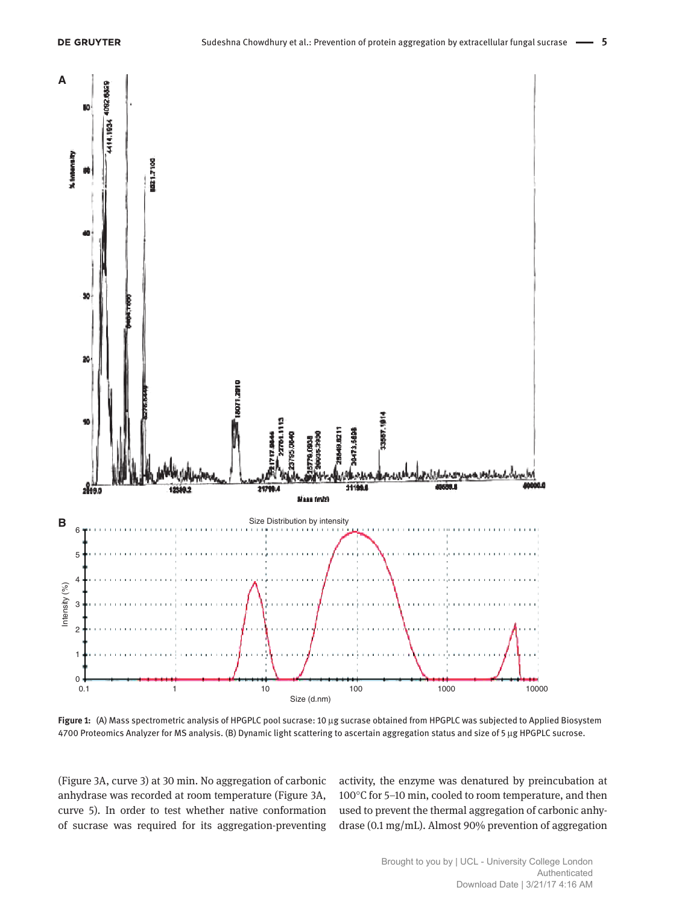

**Figure 1:** (A) Mass spectrometric analysis of HPGPLC pool sucrase: 10 µg sucrase obtained from HPGPLC was subjected to Applied Biosystem 4700 Proteomics Analyzer for MS analysis. (B) Dynamic light scattering to ascertain aggregation status and size of 5 µg HPGPLC sucrose.

(Figure 3A, curve 3) at 30 min. No aggregation of carbonic anhydrase was recorded at room temperature (Figure 3A, curve 5). In order to test whether native conformation of sucrase was required for its aggregation-preventing

activity, the enzyme was denatured by preincubation at 100°C for 5–10 min, cooled to room temperature, and then used to prevent the thermal aggregation of carbonic anhydrase (0.1 mg/mL). Almost 90% prevention of aggregation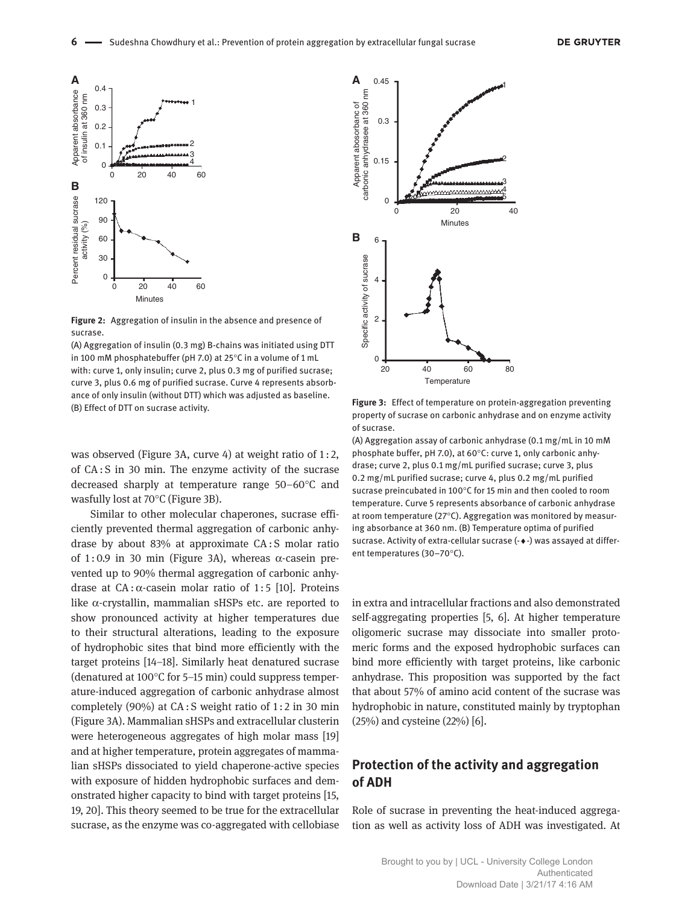

**Figure 2:** Aggregation of insulin in the absence and presence of sucrase.

(A) Aggregation of insulin (0.3 mg) B-chains was initiated using DTT in 100 mM phosphatebuffer (pH 7.0) at 25°C in a volume of 1 mL with: curve 1, only insulin; curve 2, plus 0.3 mg of purified sucrase; curve 3, plus 0.6 mg of purified sucrase. Curve 4 represents absorbance of only insulin (without DTT) which was adjusted as baseline. (B) Effect of DTT on sucrase activity.

was observed (Figure 3A, curve 4) at weight ratio of 1:2, of CA : S in 30 min. The enzyme activity of the sucrase decreased sharply at temperature range 50–60°C and wasfully lost at 70°C (Figure 3B).

Similar to other molecular chaperones, sucrase efficiently prevented thermal aggregation of carbonic anhydrase by about 83% at approximate CA: S molar ratio of 1:0.9 in 30 min (Figure 3A), whereas  $\alpha$ -casein prevented up to 90% thermal aggregation of carbonic anhydrase at CA : α-casein molar ratio of 1:5 [10]. Proteins like  $α$ -crystallin, mammalian sHSPs etc. are reported to show pronounced activity at higher temperatures due to their structural alterations, leading to the exposure of hydrophobic sites that bind more efficiently with the target proteins [14–18]. Similarly heat denatured sucrase (denatured at 100°C for 5–15 min) could suppress temperature-induced aggregation of carbonic anhydrase almost completely (90%) at CA : S weight ratio of 1 : 2 in 30 min (Figure 3A). Mammalian sHSPs and extracellular clusterin were heterogeneous aggregates of high molar mass [19] and at higher temperature, protein aggregates of mammalian sHSPs dissociated to yield chaperone-active species with exposure of hidden hydrophobic surfaces and demonstrated higher capacity to bind with target proteins [15, 19, 20]. This theory seemed to be true for the extracellular sucrase, as the enzyme was co-aggregated with cellobiase



**Figure 3:** Effect of temperature on protein-aggregation preventing property of sucrase on carbonic anhydrase and on enzyme activity of sucrase.

(A) Aggregation assay of carbonic anhydrase (0.1 mg/mL in 10 mM phosphate buffer, pH 7.0), at 60°C: curve 1, only carbonic anhydrase; curve 2, plus 0.1 mg/mL purified sucrase; curve 3, plus 0.2 mg/mL purified sucrase; curve 4, plus 0.2 mg/mL purified sucrase preincubated in 100°C for 15 min and then cooled to room temperature. Curve 5 represents absorbance of carbonic anhydrase at room temperature (27°C). Aggregation was monitored by measuring absorbance at 360 nm. (B) Temperature optima of purified sucrase. Activity of extra-cellular sucrase (-♦-) was assayed at different temperatures (30–70°C).

in extra and intracellular fractions and also demonstrated self-aggregating properties [5, 6]. At higher temperature oligomeric sucrase may dissociate into smaller protomeric forms and the exposed hydrophobic surfaces can bind more efficiently with target proteins, like carbonic anhydrase. This proposition was supported by the fact that about 57% of amino acid content of the sucrase was hydrophobic in nature, constituted mainly by tryptophan (25%) and cysteine (22%) [6].

## **Protection of the activity and aggregation of ADH**

Role of sucrase in preventing the heat-induced aggregation as well as activity loss of ADH was investigated. At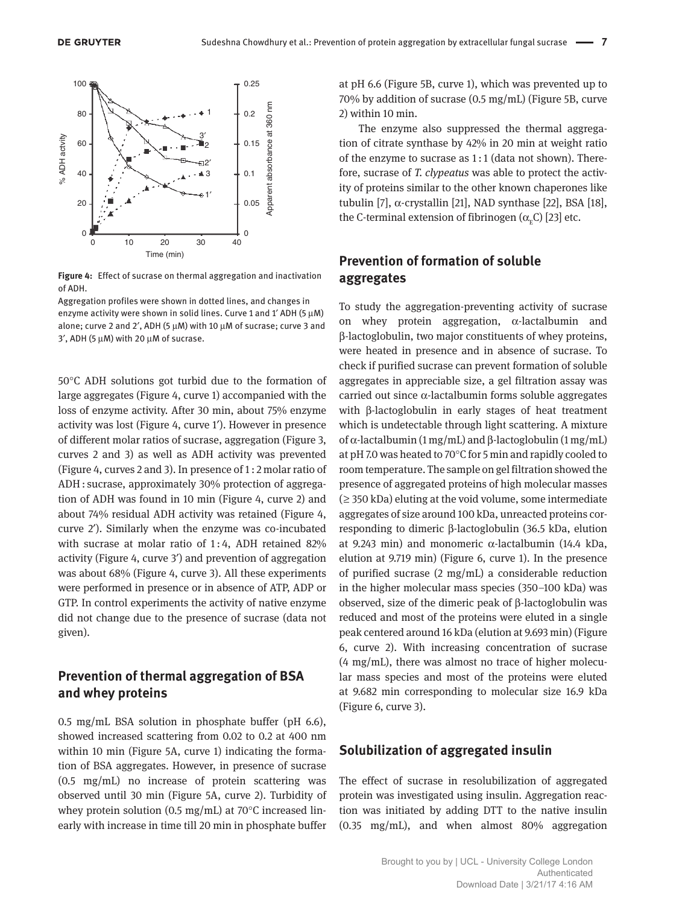

**Figure 4:** Effect of sucrase on thermal aggregation and inactivation of ADH.

Aggregation profiles were shown in dotted lines, and changes in enzyme activity were shown in solid lines. Curve 1 and 1' ADH (5  $\mu$ M) alone; curve 2 and 2′, ADH (5 µM) with 10 µM of sucrase; curve 3 and  $3'$ , ADH (5  $\mu$ M) with 20  $\mu$ M of sucrase.

50°C ADH solutions got turbid due to the formation of large aggregates (Figure 4, curve 1) accompanied with the loss of enzyme activity. After 30 min, about 75% enzyme activity was lost (Figure 4, curve 1′). However in presence of different molar ratios of sucrase, aggregation (Figure 3, curves 2 and 3) as well as ADH activity was prevented (Figure 4, curves 2 and 3). In presence of 1 : 2 molar ratio of ADH : sucrase, approximately 30% protection of aggregation of ADH was found in 10 min (Figure 4, curve 2) and about 74% residual ADH activity was retained (Figure 4, curve 2′). Similarly when the enzyme was co-incubated with sucrase at molar ratio of 1:4, ADH retained 82% activity (Figure 4, curve 3′) and prevention of aggregation was about 68% (Figure 4, curve 3). All these experiments were performed in presence or in absence of ATP, ADP or GTP. In control experiments the activity of native enzyme did not change due to the presence of sucrase (data not given).

#### **Prevention of thermal aggregation of BSA and whey proteins**

0.5 mg/mL BSA solution in phosphate buffer (pH 6.6), showed increased scattering from 0.02 to 0.2 at 400 nm within 10 min (Figure 5A, curve 1) indicating the formation of BSA aggregates. However, in presence of sucrase (0.5 mg/mL) no increase of protein scattering was observed until 30 min (Figure 5A, curve 2). Turbidity of whey protein solution (0.5 mg/mL) at 70 $\degree$ C increased linearly with increase in time till 20 min in phosphate buffer

at pH 6.6 (Figure 5B, curve 1), which was prevented up to 70% by addition of sucrase (0.5 mg/mL) (Figure 5B, curve 2) within 10 min.

The enzyme also suppressed the thermal aggregation of citrate synthase by 42% in 20 min at weight ratio of the enzyme to sucrase as 1 : 1 (data not shown). Therefore, sucrase of *T. clypeatus* was able to protect the activity of proteins similar to the other known chaperones like tubulin [7], α-crystallin [21], NAD synthase [22], BSA [18], the C-terminal extension of fibrinogen ( $\alpha_{_{\rm E}}$ C) [23] etc.

#### **Prevention of formation of soluble aggregates**

To study the aggregation-preventing activity of sucrase on whey protein aggregation,  $\alpha$ -lactalbumin and β-lactoglobulin, two major constituents of whey proteins, were heated in presence and in absence of sucrase. To check if purified sucrase can prevent formation of soluble aggregates in appreciable size, a gel filtration assay was carried out since α-lactalbumin forms soluble aggregates with β-lactoglobulin in early stages of heat treatment which is undetectable through light scattering. A mixture of α-lactalbumin (1 mg/mL) and β-lactoglobulin (1 mg/mL) at pH 7.0 was heated to 70°C for 5 min and rapidly cooled to room temperature. The sample on gel filtration showed the presence of aggregated proteins of high molecular masses  $($  ≥ 350 kDa) eluting at the void volume, some intermediate aggregates of size around 100 kDa, unreacted proteins corresponding to dimeric β-lactoglobulin (36.5 kDa, elution at 9.243 min) and monomeric α-lactalbumin (14.4 kDa, elution at 9.719 min) (Figure 6, curve 1). In the presence of purified sucrase (2 mg/mL) a considerable reduction in the higher molecular mass species (350–100 kDa) was observed, size of the dimeric peak of β-lactoglobulin was reduced and most of the proteins were eluted in a single peak centered around 16 kDa (elution at 9.693 min) (Figure 6, curve 2). With increasing concentration of sucrase (4 mg/mL), there was almost no trace of higher molecular mass species and most of the proteins were eluted at 9.682 min corresponding to molecular size 16.9 kDa (Figure 6, curve 3).

#### **Solubilization of aggregated insulin**

The effect of sucrase in resolubilization of aggregated protein was investigated using insulin. Aggregation reaction was initiated by adding DTT to the native insulin (0.35 mg/mL), and when almost 80% aggregation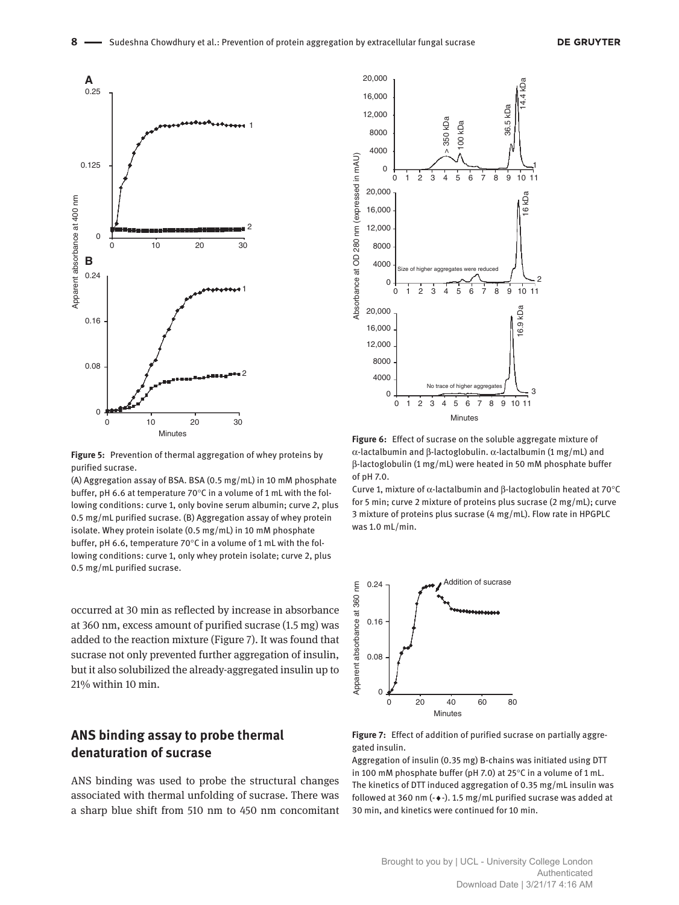

**Figure 5:** Prevention of thermal aggregation of whey proteins by purified sucrase.

(A) Aggregation assay of BSA. BSA (0.5 mg/mL) in 10 mM phosphate buffer, pH 6.6 at temperature 70°C in a volume of 1 mL with the following conditions: curve 1, only bovine serum albumin; curve *2*, plus 0.5 mg/mL purified sucrase. (B) Aggregation assay of whey protein isolate. Whey protein isolate (0.5 mg/mL) in 10 mM phosphate buffer, pH 6.6, temperature 70°C in a volume of 1 mL with the following conditions: curve 1, only whey protein isolate; curve 2, plus 0.5 mg/mL purified sucrase.

occurred at 30 min as reflected by increase in absorbance at 360 nm, excess amount of purified sucrase (1.5 mg) was added to the reaction mixture (Figure 7). It was found that sucrase not only prevented further aggregation of insulin, but it also solubilized the already-aggregated insulin up to 21% within 10 min.

## **ANS binding assay to probe thermal denaturation of sucrase**

ANS binding was used to probe the structural changes associated with thermal unfolding of sucrase. There was a sharp blue shift from 510 nm to 450 nm concomitant



**Figure 6:** Effect of sucrase on the soluble aggregate mixture of α-lactalbumin and β-lactoglobulin. α-lactalbumin (1 mg/mL) and β-lactoglobulin (1 mg/mL) were heated in 50 mM phosphate buffer of pH 7.0.

Curve 1, mixture of α-lactalbumin and β-lactoglobulin heated at 70°C for 5 min; curve 2 mixture of proteins plus sucrase (2 mg/mL); curve 3 mixture of proteins plus sucrase (4 mg/mL). Flow rate in HPGPLC was 1.0 mL/min.



**Figure 7:** Effect of addition of purified sucrase on partially aggregated insulin.

Aggregation of insulin (0.35 mg) B-chains was initiated using DTT in 100 mM phosphate buffer (pH 7.0) at 25°C in a volume of 1 mL. The kinetics of DTT induced aggregation of 0.35 mg/mL insulin was followed at 360 nm (-♦-). 1.5 mg/mL purified sucrase was added at 30 min, and kinetics were continued for 10 min.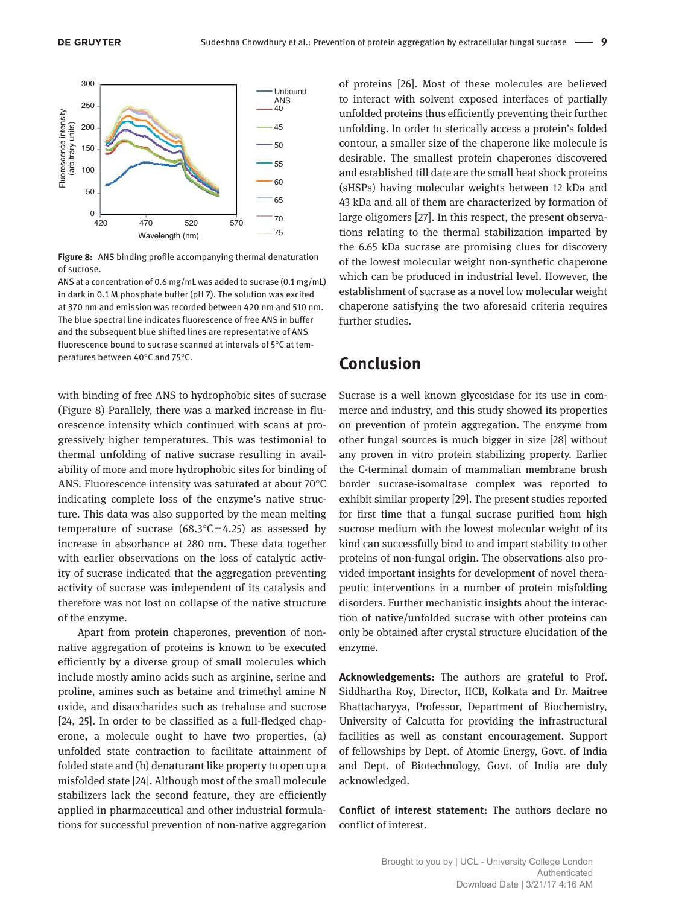

**Figure 8:** ANS binding profile accompanying thermal denaturation of sucrose.

ANS at a concentration of 0.6 mg/mL was added to sucrase (0.1 mg/mL) in dark in 0.1 M phosphate buffer (pH 7). The solution was excited at 370 nm and emission was recorded between 420 nm and 510 nm. The blue spectral line indicates fluorescence of free ANS in buffer and the subsequent blue shifted lines are representative of ANS fluorescence bound to sucrase scanned at intervals of 5°C at temperatures between 40°C and 75°C.

with binding of free ANS to hydrophobic sites of sucrase (Figure 8) Parallely, there was a marked increase in fluorescence intensity which continued with scans at progressively higher temperatures. This was testimonial to thermal unfolding of native sucrase resulting in availability of more and more hydrophobic sites for binding of ANS. Fluorescence intensity was saturated at about 70°C indicating complete loss of the enzyme's native structure. This data was also supported by the mean melting temperature of sucrase (68.3 $\degree$ C $\pm$ 4.25) as assessed by increase in absorbance at 280 nm. These data together with earlier observations on the loss of catalytic activity of sucrase indicated that the aggregation preventing activity of sucrase was independent of its catalysis and therefore was not lost on collapse of the native structure of the enzyme.

Apart from protein chaperones, prevention of nonnative aggregation of proteins is known to be executed efficiently by a diverse group of small molecules which include mostly amino acids such as arginine, serine and proline, amines such as betaine and trimethyl amine N oxide, and disaccharides such as trehalose and sucrose [24, 25]. In order to be classified as a full-fledged chaperone, a molecule ought to have two properties, (a) unfolded state contraction to facilitate attainment of folded state and (b) denaturant like property to open up a misfolded state [24]. Although most of the small molecule stabilizers lack the second feature, they are efficiently applied in pharmaceutical and other industrial formulations for successful prevention of non-native aggregation of proteins [26]. Most of these molecules are believed to interact with solvent exposed interfaces of partially unfolded proteins thus efficiently preventing their further unfolding. In order to sterically access a protein's folded contour, a smaller size of the chaperone like molecule is desirable. The smallest protein chaperones discovered and established till date are the small heat shock proteins (sHSPs) having molecular weights between 12 kDa and 43 kDa and all of them are characterized by formation of large oligomers [27]. In this respect, the present observations relating to the thermal stabilization imparted by the 6.65 kDa sucrase are promising clues for discovery of the lowest molecular weight non-synthetic chaperone which can be produced in industrial level. However, the establishment of sucrase as a novel low molecular weight chaperone satisfying the two aforesaid criteria requires further studies.

# **Conclusion**

Sucrase is a well known glycosidase for its use in commerce and industry, and this study showed its properties on prevention of protein aggregation. The enzyme from other fungal sources is much bigger in size [28] without any proven in vitro protein stabilizing property. Earlier the C-terminal domain of mammalian membrane brush border sucrase-isomaltase complex was reported to exhibit similar property [29]. The present studies reported for first time that a fungal sucrase purified from high sucrose medium with the lowest molecular weight of its kind can successfully bind to and impart stability to other proteins of non-fungal origin. The observations also provided important insights for development of novel therapeutic interventions in a number of protein misfolding disorders. Further mechanistic insights about the interaction of native/unfolded sucrase with other proteins can only be obtained after crystal structure elucidation of the enzyme.

**Acknowledgements:** The authors are grateful to Prof. Siddhartha Roy, Director, IICB, Kolkata and Dr. Maitree Bhattacharyya, Professor, Department of Biochemistry, University of Calcutta for providing the infrastructural facilities as well as constant encouragement. Support of fellowships by Dept. of Atomic Energy, Govt. of India and Dept. of Biotechnology, Govt. of India are duly acknowledged.

**Conflict of interest statement:** The authors declare no conflict of interest.